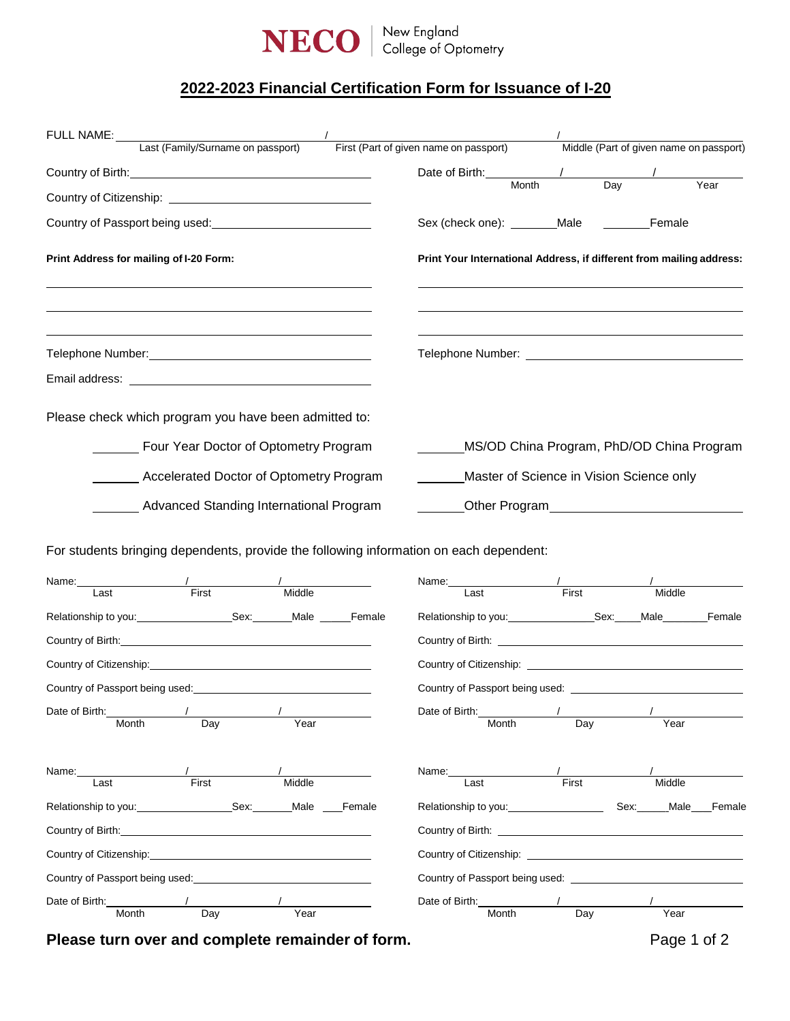

## **2022-2023 Financial Certification Form for Issuance of I-20**

| FULL NAME:<br>Last (Family/Surname on passport)                                                                                                                                                                                                                                | First (Part of given name on passport)<br>Middle (Part of given name on passport)                                                                                                                                                                                                                                       |
|--------------------------------------------------------------------------------------------------------------------------------------------------------------------------------------------------------------------------------------------------------------------------------|-------------------------------------------------------------------------------------------------------------------------------------------------------------------------------------------------------------------------------------------------------------------------------------------------------------------------|
| Country of Birth: 2008 2010 2010 2010 2010 2010 2011 2020 2021 2021 2022 2022 2022 2023 2024 2022 20                                                                                                                                                                           | Date of Birth: <u>Month</u> / Day                                                                                                                                                                                                                                                                                       |
|                                                                                                                                                                                                                                                                                | Year                                                                                                                                                                                                                                                                                                                    |
| Country of Passport being used:<br><u>Country</u> of Passport being used:                                                                                                                                                                                                      | Sex (check one): ________ Male __________ Female                                                                                                                                                                                                                                                                        |
| Print Address for mailing of I-20 Form:                                                                                                                                                                                                                                        | Print Your International Address, if different from mailing address:                                                                                                                                                                                                                                                    |
|                                                                                                                                                                                                                                                                                |                                                                                                                                                                                                                                                                                                                         |
|                                                                                                                                                                                                                                                                                |                                                                                                                                                                                                                                                                                                                         |
| Please check which program you have been admitted to:<br>Four Year Doctor of Optometry Program<br>Accelerated Doctor of Optometry Program<br>Advanced Standing International Program<br>For students bringing dependents, provide the following information on each dependent: | MS/OD China Program, PhD/OD China Program<br>Master of Science in Vision Science only<br>Other Program example and the control of the control of the control of the control of the control of the control of the control of the control of the control of the control of the control of the control of the control of t |
| Name:<br>Last                                                                                                                                                                                                                                                                  | Name:__<br>Tast /<br>Tast First<br>Middle                                                                                                                                                                                                                                                                               |
|                                                                                                                                                                                                                                                                                |                                                                                                                                                                                                                                                                                                                         |
| Country of Birth: <u>Country of Birth:</u>                                                                                                                                                                                                                                     |                                                                                                                                                                                                                                                                                                                         |
| Country of Citizenship:<br><u> Country of Citizenship:</u>                                                                                                                                                                                                                     |                                                                                                                                                                                                                                                                                                                         |
| Country of Passport being used:<br><u>Country of Passport being used:</u>                                                                                                                                                                                                      |                                                                                                                                                                                                                                                                                                                         |
| Date of Birth:<br>Month<br>Day<br>Year                                                                                                                                                                                                                                         | Date of Birth:<br>Month<br>Day<br>Year                                                                                                                                                                                                                                                                                  |
| Name:<br>First<br>Middle<br>Last                                                                                                                                                                                                                                               | Name:<br>First<br>Middle<br>Last                                                                                                                                                                                                                                                                                        |
| Relationship to you: Sex: Sex:<br>Male<br>Female                                                                                                                                                                                                                               | Relationship to you:<br><u>Netationship</u> to you:<br>Sex:<br>Male___Female                                                                                                                                                                                                                                            |
|                                                                                                                                                                                                                                                                                |                                                                                                                                                                                                                                                                                                                         |
| Country of Citizenship: example of the country of Citizenship:                                                                                                                                                                                                                 | Country of Citizenship: example of the country of Citizenship:                                                                                                                                                                                                                                                          |
| Country of Passport being used:                                                                                                                                                                                                                                                | Country of Passport being used: The country of Passport being used:                                                                                                                                                                                                                                                     |
| Date of Birth:<br>Year<br>Month<br>Day                                                                                                                                                                                                                                         | Date of Birth:<br>Month<br>Day<br>Year                                                                                                                                                                                                                                                                                  |

**Please turn over and complete remainder of form.** Please turn over and complete remainder of form.